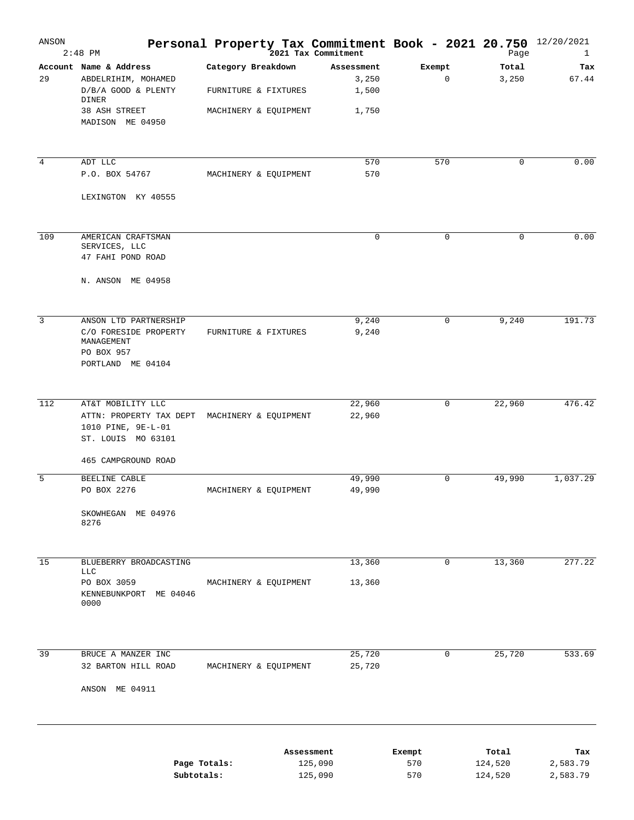| ANSON          | $2:48$ PM                                                                                       | Personal Property Tax Commitment Book - 2021 20.750 12/20/2021 | .<br>2021 Tax Commitment     |             | Page               | 1                    |
|----------------|-------------------------------------------------------------------------------------------------|----------------------------------------------------------------|------------------------------|-------------|--------------------|----------------------|
| 29             | Account Name & Address<br>ABDELRIHIM, MOHAMED<br>D/B/A GOOD & PLENTY                            | Category Breakdown<br>FURNITURE & FIXTURES                     | Assessment<br>3,250<br>1,500 | Exempt<br>0 | Total<br>3,250     | Tax<br>67.44         |
|                | DINER<br>38 ASH STREET<br>MADISON ME 04950                                                      | MACHINERY & EQUIPMENT                                          | 1,750                        |             |                    |                      |
| $\overline{4}$ | ADT LLC<br>P.O. BOX 54767                                                                       | MACHINERY & EQUIPMENT                                          | 570<br>570                   | 570         | 0                  | 0.00                 |
|                | LEXINGTON KY 40555                                                                              |                                                                |                              |             |                    |                      |
| 109            | AMERICAN CRAFTSMAN<br>SERVICES, LLC<br>47 FAHI POND ROAD                                        |                                                                | $\mathbf 0$                  | 0           | 0                  | 0.00                 |
|                | N. ANSON ME 04958                                                                               |                                                                |                              |             |                    |                      |
| 3              | ANSON LTD PARTNERSHIP<br>C/O FORESIDE PROPERTY<br>MANAGEMENT<br>PO BOX 957<br>PORTLAND ME 04104 | FURNITURE & FIXTURES                                           | 9,240<br>9,240               | 0           | 9,240              | 191.73               |
| 112            | AT&T MOBILITY LLC<br>ATTN: PROPERTY TAX DEPT<br>1010 PINE, 9E-L-01<br>ST. LOUIS MO 63101        | MACHINERY & EQUIPMENT                                          | 22,960<br>22,960             | 0           | 22,960             | 476.42               |
| 5              | 465 CAMPGROUND ROAD<br>BEELINE CABLE                                                            |                                                                | 49,990                       | 0           | 49,990             | 1,037.29             |
|                | PO BOX 2276<br>SKOWHEGAN ME 04976<br>8276                                                       | MACHINERY & EQUIPMENT                                          | 49,990                       |             |                    |                      |
| 15             | BLUEBERRY BROADCASTING<br><b>LLC</b>                                                            |                                                                | 13,360                       | 0           | 13,360             | 277.22               |
|                | PO BOX 3059<br>KENNEBUNKPORT ME 04046<br>0000                                                   | MACHINERY & EQUIPMENT                                          | 13,360                       |             |                    |                      |
| 39             | BRUCE A MANZER INC<br>32 BARTON HILL ROAD                                                       | MACHINERY & EQUIPMENT                                          | 25,720<br>25,720             | $\mathbf 0$ | 25,720             | 533.69               |
|                | ANSON ME 04911                                                                                  |                                                                |                              |             |                    |                      |
|                |                                                                                                 |                                                                | Assessment                   | Exempt      | Total              | Tax                  |
|                | Page Totals:<br>Subtotals:                                                                      |                                                                | 125,090<br>125,090           | 570<br>570  | 124,520<br>124,520 | 2,583.79<br>2,583.79 |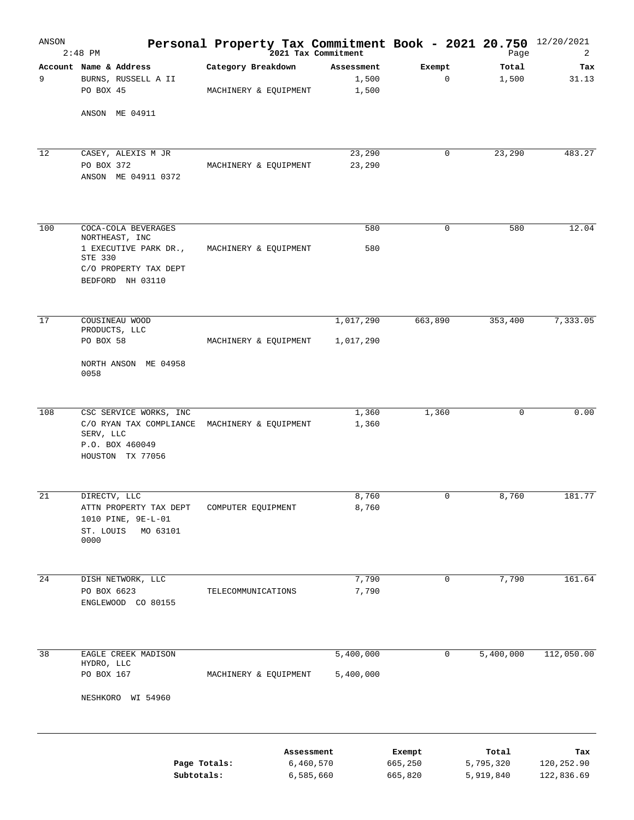| ANSON | $2:48$ PM                                                                                                                   | Personal Property Tax Commitment Book - 2021 20.750 12/20/2021 | 2021 Tax Commitment          |                              | Page                            | 2                               |
|-------|-----------------------------------------------------------------------------------------------------------------------------|----------------------------------------------------------------|------------------------------|------------------------------|---------------------------------|---------------------------------|
| 9     | Account Name & Address<br>BURNS, RUSSELL A II<br>PO BOX 45                                                                  | Category Breakdown<br>MACHINERY & EQUIPMENT                    | Assessment<br>1,500<br>1,500 | Exempt<br>0                  | Total<br>1,500                  | Tax<br>31.13                    |
|       | ANSON ME 04911                                                                                                              |                                                                |                              |                              |                                 |                                 |
| 12    | CASEY, ALEXIS M JR<br>PO BOX 372<br>ANSON ME 04911 0372                                                                     | MACHINERY & EQUIPMENT                                          | 23,290<br>23,290             | 0                            | 23,290                          | 483.27                          |
| 100   | COCA-COLA BEVERAGES<br>NORTHEAST, INC<br>1 EXECUTIVE PARK DR.,<br>STE 330<br>C/O PROPERTY TAX DEPT<br>BEDFORD NH 03110      | MACHINERY & EQUIPMENT                                          | 580<br>580                   | $\mathbf 0$                  | 580                             | 12.04                           |
| 17    | COUSINEAU WOOD<br>PRODUCTS, LLC                                                                                             |                                                                | 1,017,290                    | 663,890                      | 353,400                         | 7,333.05                        |
|       | PO BOX 58<br>NORTH ANSON ME 04958<br>0058                                                                                   | MACHINERY & EQUIPMENT                                          | 1,017,290                    |                              |                                 |                                 |
| 108   | CSC SERVICE WORKS, INC<br>C/O RYAN TAX COMPLIANCE MACHINERY & EQUIPMENT<br>SERV, LLC<br>P.O. BOX 460049<br>HOUSTON TX 77056 |                                                                | 1,360<br>1,360               | 1,360                        | $\mathbf 0$                     | 0.00                            |
| 21    | DIRECTV, LLC<br>ATTN PROPERTY TAX DEPT<br>1010 PINE, 9E-L-01<br>ST. LOUIS<br>MO 63101<br>0000                               | COMPUTER EQUIPMENT                                             | 8,760<br>8,760               | 0                            | 8,760                           | 181.77                          |
| 24    | DISH NETWORK, LLC<br>PO BOX 6623<br>ENGLEWOOD CO 80155                                                                      | TELECOMMUNICATIONS                                             | 7,790<br>7,790               | 0                            | 7,790                           | 161.64                          |
| 38    | EAGLE CREEK MADISON<br>HYDRO, LLC<br>PO BOX 167<br>NESHKORO WI 54960                                                        | MACHINERY & EQUIPMENT                                          | 5,400,000<br>5,400,000       | 0                            | 5,400,000                       | 112,050.00                      |
|       | Subtotals:                                                                                                                  | Assessment<br>Page Totals:                                     | 6,460,570<br>6,585,660       | Exempt<br>665,250<br>665,820 | Total<br>5,795,320<br>5,919,840 | Tax<br>120,252.90<br>122,836.69 |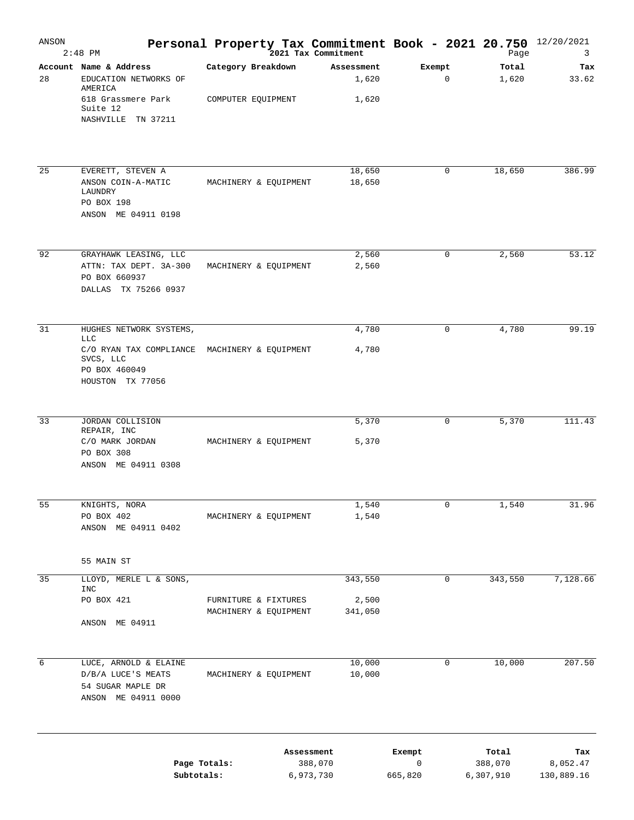| ANSON | $2:48$ PM                                                                                                                                |                                               |                         |                              |                        | <b>Personal Property Tax Commitment Book - 2021 20.750</b> $^{12/20/2021}$<br><sup>2021</sup> Tax Commitment |                               |
|-------|------------------------------------------------------------------------------------------------------------------------------------------|-----------------------------------------------|-------------------------|------------------------------|------------------------|--------------------------------------------------------------------------------------------------------------|-------------------------------|
| 28    | Account Name & Address<br>EDUCATION NETWORKS OF<br>AMERICA<br>618 Grassmere Park<br>Suite 12<br>NASHVILLE TN 37211                       | Category Breakdown<br>COMPUTER EQUIPMENT      |                         | Assessment<br>1,620<br>1,620 | Exempt<br>0            | Total<br>1,620                                                                                               | Tax<br>33.62                  |
| 25    | EVERETT, STEVEN A<br>ANSON COIN-A-MATIC<br>LAUNDRY                                                                                       | MACHINERY & EQUIPMENT                         |                         | 18,650<br>18,650             | 0                      | 18,650                                                                                                       | 386.99                        |
|       | PO BOX 198<br>ANSON ME 04911 0198                                                                                                        |                                               |                         |                              |                        |                                                                                                              |                               |
| 92    | GRAYHAWK LEASING, LLC<br>ATTN: TAX DEPT. 3A-300<br>PO BOX 660937<br>DALLAS TX 75266 0937                                                 | MACHINERY & EQUIPMENT                         |                         | 2,560<br>2,560               | 0                      | 2,560                                                                                                        | 53.12                         |
| 31    | HUGHES NETWORK SYSTEMS,<br><b>LLC</b><br>C/O RYAN TAX COMPLIANCE MACHINERY & EQUIPMENT<br>SVCS, LLC<br>PO BOX 460049<br>HOUSTON TX 77056 |                                               |                         | 4,780<br>4,780               | 0                      | 4,780                                                                                                        | 99.19                         |
| 33    | JORDAN COLLISION<br>REPAIR, INC<br>C/O MARK JORDAN<br>PO BOX 308<br>ANSON ME 04911 0308                                                  | MACHINERY & EQUIPMENT                         |                         | 5,370<br>5,370               | 0                      | 5,370                                                                                                        | 111.43                        |
| 55    | KNIGHTS, NORA<br>PO BOX 402<br>ANSON ME 04911 0402                                                                                       | MACHINERY & EQUIPMENT                         |                         | 1,540<br>1,540               | 0                      | 1,540                                                                                                        | 31.96                         |
|       | 55 MAIN ST                                                                                                                               |                                               |                         |                              |                        |                                                                                                              |                               |
| 35    | LLOYD, MERLE L & SONS,<br>INC<br>PO BOX 421<br>ANSON ME 04911                                                                            | FURNITURE & FIXTURES<br>MACHINERY & EQUIPMENT |                         | 343,550<br>2,500<br>341,050  | 0                      | 343,550                                                                                                      | 7,128.66                      |
| 6     | LUCE, ARNOLD & ELAINE<br>D/B/A LUCE'S MEATS<br>54 SUGAR MAPLE DR<br>ANSON ME 04911 0000                                                  | MACHINERY & EQUIPMENT                         |                         | 10,000<br>10,000             | 0                      | 10,000                                                                                                       | 207.50                        |
|       | Page Totals:<br>Subtotals:                                                                                                               |                                               | Assessment<br>6,973,730 | 388,070                      | Exempt<br>0<br>665,820 | Total<br>388,070<br>6,307,910                                                                                | тах<br>8,052.47<br>130,889.16 |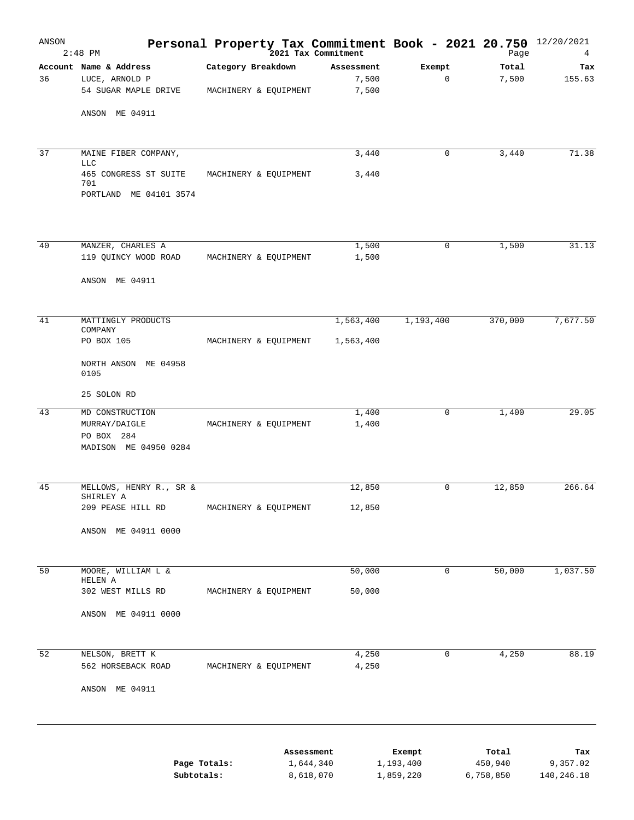| ANSON | $2:48$ PM                                            | Personal Property Tax Commitment Book - 2021 20.750 12/20/2021 | 2021 Tax Commitment |            |              | Page      | 4          |
|-------|------------------------------------------------------|----------------------------------------------------------------|---------------------|------------|--------------|-----------|------------|
|       | Account Name & Address                               | Category Breakdown                                             |                     | Assessment | Exempt       | Total     | Tax        |
| 36    | LUCE, ARNOLD P                                       |                                                                |                     | 7,500      | $\mathbf 0$  | 7,500     | 155.63     |
|       | 54 SUGAR MAPLE DRIVE                                 | MACHINERY & EQUIPMENT                                          |                     | 7,500      |              |           |            |
|       | ANSON ME 04911                                       |                                                                |                     |            |              |           |            |
| 37    | MAINE FIBER COMPANY,                                 |                                                                |                     | 3,440      | $\mathbf 0$  | 3,440     | 71.38      |
|       | <b>LLC</b><br>465 CONGRESS ST SUITE                  | MACHINERY & EQUIPMENT                                          |                     | 3,440      |              |           |            |
|       | 701<br>PORTLAND ME 04101 3574                        |                                                                |                     |            |              |           |            |
| 40    | MANZER, CHARLES A                                    |                                                                |                     | 1,500      | $\mathbf{0}$ | 1,500     | 31.13      |
|       | 119 QUINCY WOOD ROAD                                 | MACHINERY & EQUIPMENT                                          |                     | 1,500      |              |           |            |
|       | ANSON ME 04911                                       |                                                                |                     |            |              |           |            |
| 41    | MATTINGLY PRODUCTS<br>COMPANY                        |                                                                |                     | 1,563,400  | 1,193,400    | 370,000   | 7,677.50   |
|       | PO BOX 105                                           | MACHINERY & EQUIPMENT                                          |                     | 1,563,400  |              |           |            |
|       | NORTH ANSON ME 04958<br>0105                         |                                                                |                     |            |              |           |            |
|       | 25 SOLON RD                                          |                                                                |                     |            |              |           |            |
| 43    | MD CONSTRUCTION                                      |                                                                |                     | 1,400      | 0            | 1,400     | 29.05      |
|       | MURRAY/DAIGLE<br>PO BOX 284<br>MADISON ME 04950 0284 | MACHINERY & EQUIPMENT                                          |                     | 1,400      |              |           |            |
| 45    | MELLOWS, HENRY R., SR &                              |                                                                |                     | 12,850     | 0            | 12,850    | 266.64     |
|       | SHIRLEY A<br>209 PEASE HILL RD                       | MACHINERY & EQUIPMENT                                          |                     | 12,850     |              |           |            |
|       | ANSON ME 04911 0000                                  |                                                                |                     |            |              |           |            |
| 50    | MOORE, WILLIAM L &                                   |                                                                |                     | 50,000     | 0            | 50,000    | 1,037.50   |
|       | HELEN A                                              |                                                                |                     |            |              |           |            |
|       | 302 WEST MILLS RD                                    | MACHINERY & EQUIPMENT                                          |                     | 50,000     |              |           |            |
|       | ANSON ME 04911 0000                                  |                                                                |                     |            |              |           |            |
| 52    | NELSON, BRETT K                                      |                                                                |                     | 4,250      | $\mathbf 0$  | 4,250     | 88.19      |
|       | 562 HORSEBACK ROAD                                   | MACHINERY & EQUIPMENT                                          |                     | 4,250      |              |           |            |
|       | ANSON ME 04911                                       |                                                                |                     |            |              |           |            |
|       |                                                      |                                                                | Assessment          |            | Exempt       | Total     | Tax        |
|       |                                                      | Page Totals:                                                   | 1,644,340           |            | 1,193,400    | 450,940   | 9,357.02   |
|       | Subtotals:                                           |                                                                | 8,618,070           |            | 1,859,220    | 6,758,850 | 140,246.18 |
|       |                                                      |                                                                |                     |            |              |           |            |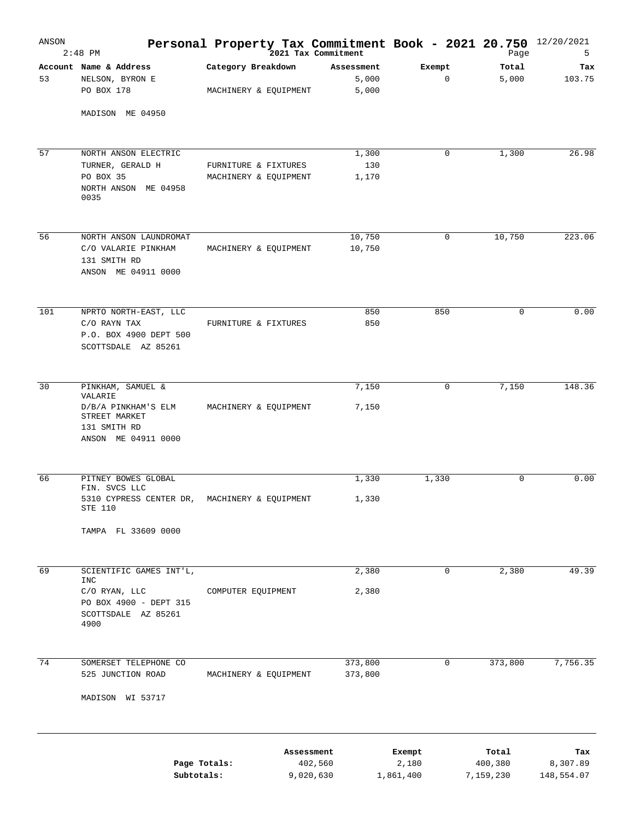| ANSON | $2:48$ PM                                                                                                               | Personal Property Tax Commitment Book - 2021 20.750 12/20/2021 | 2021 Tax Commitment                |                              | Page                          | 5                             |
|-------|-------------------------------------------------------------------------------------------------------------------------|----------------------------------------------------------------|------------------------------------|------------------------------|-------------------------------|-------------------------------|
| 53    | Account Name & Address<br>NELSON, BYRON E<br>PO BOX 178                                                                 | Category Breakdown<br>MACHINERY & EQUIPMENT                    | Assessment<br>5,000<br>5,000       | Exempt<br>$\mathbf 0$        | Total<br>5,000                | Tax<br>103.75                 |
|       | MADISON ME 04950                                                                                                        |                                                                |                                    |                              |                               |                               |
| 57    | NORTH ANSON ELECTRIC<br>TURNER, GERALD H<br>PO BOX 35<br>NORTH ANSON ME 04958<br>0035                                   | FURNITURE & FIXTURES<br>MACHINERY & EQUIPMENT                  | 1,300<br>130<br>1,170              | 0                            | 1,300                         | 26.98                         |
| 56    | NORTH ANSON LAUNDROMAT<br>C/O VALARIE PINKHAM<br>131 SMITH RD<br>ANSON ME 04911 0000                                    | MACHINERY & EQUIPMENT                                          | 10,750<br>10,750                   | 0                            | 10,750                        | 223.06                        |
| 101   | NPRTO NORTH-EAST, LLC<br>C/O RAYN TAX<br>P.O. BOX 4900 DEPT 500<br>SCOTTSDALE AZ 85261                                  | FURNITURE & FIXTURES                                           | 850<br>850                         | 850                          | 0                             | 0.00                          |
| 30    | PINKHAM, SAMUEL &<br>VALARIE<br>D/B/A PINKHAM'S ELM<br>STREET MARKET<br>131 SMITH RD<br>ANSON ME 04911 0000             | MACHINERY & EQUIPMENT                                          | 7,150<br>7,150                     | 0                            | 7,150                         | 148.36                        |
| 66    | PITNEY BOWES GLOBAL<br>FIN. SVCS LLC<br>5310 CYPRESS CENTER DR, MACHINERY & EQUIPMENT<br>STE 110<br>TAMPA FL 33609 0000 |                                                                | 1,330<br>1,330                     | 1,330                        | $\mathbf 0$                   | 0.00                          |
| 69    | SCIENTIFIC GAMES INT'L,<br>INC<br>C/O RYAN, LLC<br>PO BOX 4900 - DEPT 315<br>SCOTTSDALE AZ 85261<br>4900                | COMPUTER EQUIPMENT                                             | 2,380<br>2,380                     | 0                            | 2,380                         | 49.39                         |
| 74    | SOMERSET TELEPHONE CO<br>525 JUNCTION ROAD<br>MADISON WI 53717                                                          | MACHINERY & EQUIPMENT                                          | 373,800<br>373,800                 | 0                            | 373,800                       | 7,756.35                      |
|       | Page Totals:<br>Subtotals:                                                                                              |                                                                | Assessment<br>402,560<br>9,020,630 | Exempt<br>2,180<br>1,861,400 | Total<br>400,380<br>7,159,230 | Tax<br>8,307.89<br>148,554.07 |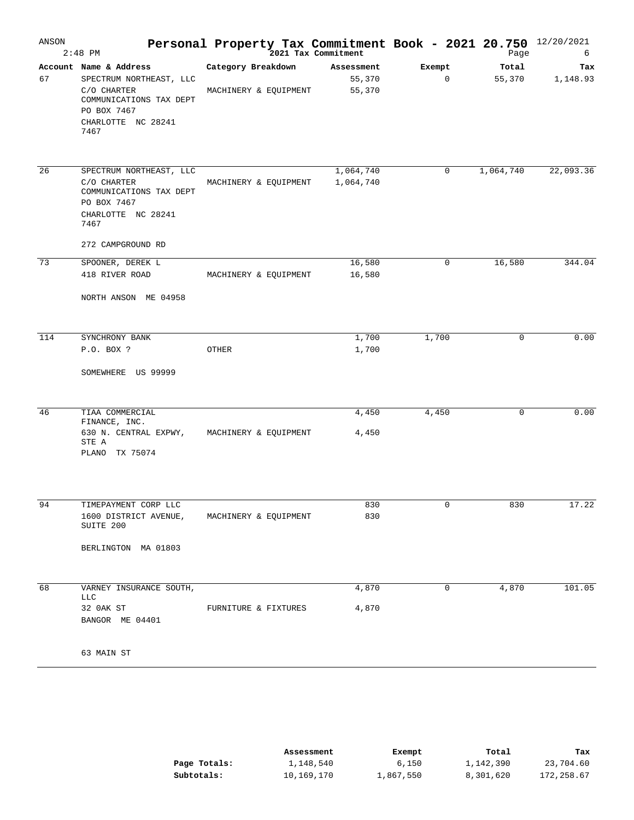| ANSON | $2:48$ PM                                                                                                                                | <b>Personal Property Tax Commitment Book - 2021 20.750</b> $^{12/20/2021}_{2021}$ Tax Commitment Book - 2021 20.750 $^{12/20/2021}_{2036}$ |                                |             |                 |                 |
|-------|------------------------------------------------------------------------------------------------------------------------------------------|--------------------------------------------------------------------------------------------------------------------------------------------|--------------------------------|-------------|-----------------|-----------------|
| 67    | Account Name & Address<br>SPECTRUM NORTHEAST, LLC<br>C/O CHARTER<br>COMMUNICATIONS TAX DEPT<br>PO BOX 7467<br>CHARLOTTE NC 28241<br>7467 | Category Breakdown<br>MACHINERY & EQUIPMENT                                                                                                | Assessment<br>55,370<br>55,370 | Exempt<br>0 | Total<br>55,370 | Tax<br>1,148.93 |
| 26    | SPECTRUM NORTHEAST, LLC<br>C/O CHARTER<br>COMMUNICATIONS TAX DEPT<br>PO BOX 7467<br>CHARLOTTE NC 28241<br>7467<br>272 CAMPGROUND RD      | MACHINERY & EQUIPMENT                                                                                                                      | 1,064,740<br>1,064,740         | $\mathbf 0$ | 1,064,740       | 22,093.36       |
| 73    | SPOONER, DEREK L<br>418 RIVER ROAD<br>NORTH ANSON ME 04958                                                                               | MACHINERY & EQUIPMENT                                                                                                                      | 16,580<br>16,580               | 0           | 16,580          | 344.04          |
| 114   | SYNCHRONY BANK<br>P.O. BOX ?<br>SOMEWHERE US 99999                                                                                       | OTHER                                                                                                                                      | 1,700<br>1,700                 | 1,700       | $\mathbf 0$     | 0.00            |
| 46    | TIAA COMMERCIAL<br>FINANCE, INC.<br>630 N. CENTRAL EXPWY, MACHINERY & EQUIPMENT<br>STE A<br>PLANO TX 75074                               |                                                                                                                                            | 4,450<br>4,450                 | 4,450       | $\mathbf 0$     | 0.00            |
| 94    | TIMEPAYMENT CORP LLC<br>1600 DISTRICT AVENUE,<br>SUITE 200<br>BERLINGTON MA 01803                                                        | MACHINERY & EQUIPMENT                                                                                                                      | 830<br>830                     | 0           | 830             | 17.22           |
| 68    | VARNEY INSURANCE SOUTH,<br><b>LLC</b><br>32 OAK ST<br>BANGOR ME 04401<br>63 MAIN ST                                                      | FURNITURE & FIXTURES                                                                                                                       | 4,870<br>4,870                 | 0           | 4,870           | 101.05          |

|              | Assessment | Exempt    | Total     | Tax        |
|--------------|------------|-----------|-----------|------------|
| Page Totals: | 1,148,540  | 6,150     | 1,142,390 | 23,704.60  |
| Subtotals:   | 10,169,170 | 1,867,550 | 8,301,620 | 172,258.67 |